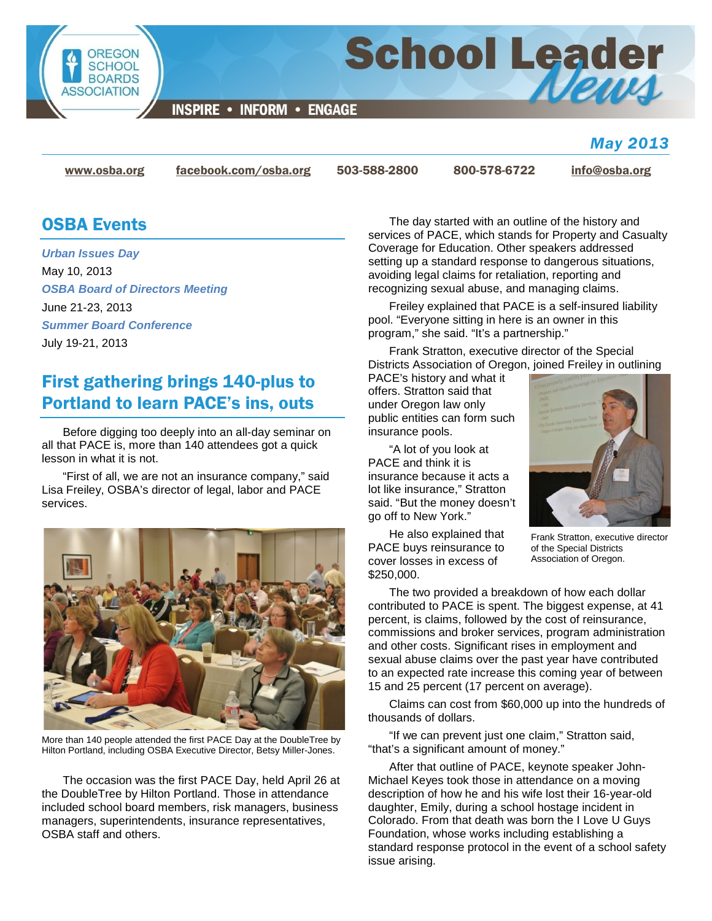

### *May 2013*

[www.osba.org](http://www.osba.org/) [facebook.com/osba.org](http://www.facebook.com/osba.org) 503-588-2800 800-578-6722 [info@osba.org](mailto:info@osba.org)

## OSBA Events

*Urban Issues Day* May 10, 2013 *OSBA Board of Directors Meeting* June 21-23, 2013 *Summer Board Conference* July 19-21, 2013

# First gathering brings 140-plus to Portland to learn PACE's ins, outs

Before digging too deeply into an all-day seminar on all that PACE is, more than 140 attendees got a quick lesson in what it is not.

"First of all, we are not an insurance company," said Lisa Freiley, OSBA's director of legal, labor and PACE services.



More than 140 people attended the first PACE Day at the DoubleTree by Hilton Portland, including OSBA Executive Director, Betsy Miller-Jones.

The occasion was the first PACE Day, held April 26 at the DoubleTree by Hilton Portland. Those in attendance included school board members, risk managers, business managers, superintendents, insurance representatives, OSBA staff and others.

The day started with an outline of the history and services of PACE, which stands for Property and Casualty Coverage for Education. Other speakers addressed setting up a standard response to dangerous situations, avoiding legal claims for retaliation, reporting and recognizing sexual abuse, and managing claims.

Freiley explained that PACE is a self-insured liability pool. "Everyone sitting in here is an owner in this program," she said. "It's a partnership."

Frank Stratton, executive director of the Special Districts Association of Oregon, joined Freiley in outlining

PACE's history and what it offers. Stratton said that under Oregon law only public entities can form such insurance pools.

"A lot of you look at PACE and think it is insurance because it acts a lot like insurance," Stratton said. "But the money doesn't go off to New York."

He also explained that PACE buys reinsurance to cover losses in excess of \$250,000.



Frank Stratton, executive director of the Special Districts Association of Oregon.

The two provided a breakdown of how each dollar contributed to PACE is spent. The biggest expense, at 41 percent, is claims, followed by the cost of reinsurance, commissions and broker services, program administration and other costs. Significant rises in employment and sexual abuse claims over the past year have contributed to an expected rate increase this coming year of between 15 and 25 percent (17 percent on average).

Claims can cost from \$60,000 up into the hundreds of thousands of dollars.

"If we can prevent just one claim," Stratton said, "that's a significant amount of money."

After that outline of PACE, keynote speaker John-Michael Keyes took those in attendance on a moving description of how he and his wife lost their 16-year-old daughter, Emily, during a school hostage incident in Colorado. From that death was born the I Love U Guys Foundation, whose works including establishing a standard response protocol in the event of a school safety issue arising.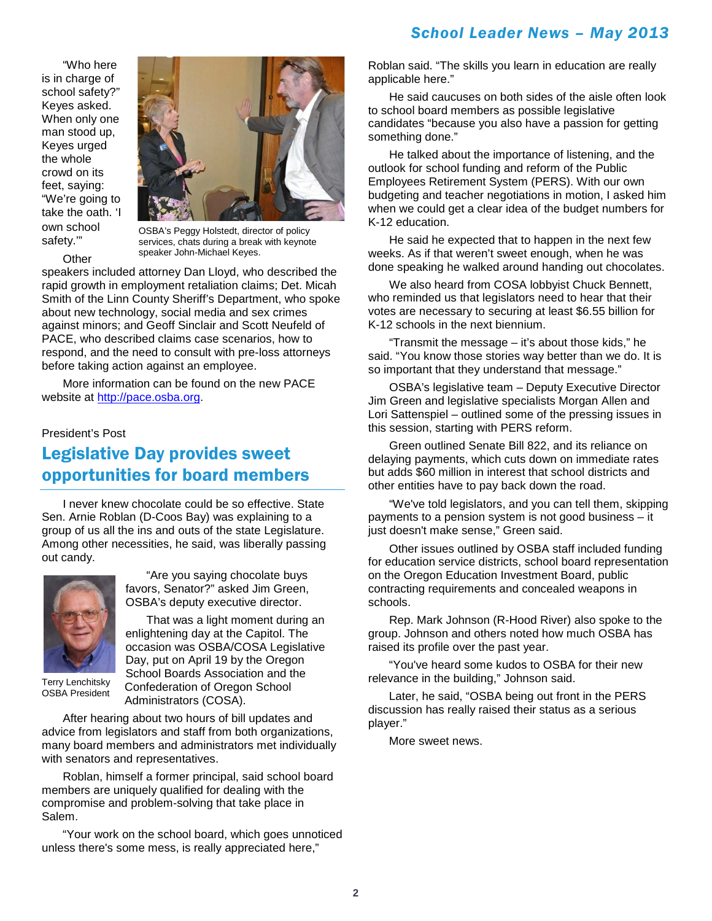"Who here is in charge of school safety?" Keyes asked. When only one man stood up, Keyes urged the whole crowd on its feet, saying: "We're going to take the oath. 'I own school safety.'"

**Other** 



OSBA's Peggy Holstedt, director of policy services, chats during a break with keynote speaker John-Michael Keyes.

speakers included attorney Dan Lloyd, who described the rapid growth in employment retaliation claims; Det. Micah Smith of the Linn County Sheriff's Department, who spoke about new technology, social media and sex crimes against minors; and Geoff Sinclair and Scott Neufeld of PACE, who described claims case scenarios, how to respond, and the need to consult with pre-loss attorneys before taking action against an employee.

More information can be found on the new PACE website at [http://pace.osba.org.](http://pace.osba.org/)

#### President's Post

# Legislative Day provides sweet opportunities for board members

I never knew chocolate could be so effective. State Sen. Arnie Roblan (D-Coos Bay) was explaining to a group of us all the ins and outs of the state Legislature. Among other necessities, he said, was liberally passing out candy.



"Are you saying chocolate buys favors, Senator?" asked Jim Green, OSBA's deputy executive director.

That was a light moment during an enlightening day at the Capitol. The

occasion was OSBA/COSA Legislative Day, put on April 19 by the Oregon School Boards Association and the Confederation of Oregon School Administrators (COSA). Terry Lenchitsky OSBA President

After hearing about two hours of bill updates and advice from legislators and staff from both organizations, many board members and administrators met individually with senators and representatives.

Roblan, himself a former principal, said school board members are uniquely qualified for dealing with the compromise and problem-solving that take place in Salem.

"Your work on the school board, which goes unnoticed unless there's some mess, is really appreciated here,"

Roblan said. "The skills you learn in education are really applicable here."

He said caucuses on both sides of the aisle often look to school board members as possible legislative candidates "because you also have a passion for getting something done."

He talked about the importance of listening, and the outlook for school funding and reform of the Public Employees Retirement System (PERS). With our own budgeting and teacher negotiations in motion, I asked him when we could get a clear idea of the budget numbers for K-12 education.

He said he expected that to happen in the next few weeks. As if that weren't sweet enough, when he was done speaking he walked around handing out chocolates.

We also heard from COSA lobbyist Chuck Bennett, who reminded us that legislators need to hear that their votes are necessary to securing at least \$6.55 billion for K-12 schools in the next biennium.

"Transmit the message – it's about those kids," he said. "You know those stories way better than we do. It is so important that they understand that message."

OSBA's legislative team – Deputy Executive Director Jim Green and legislative specialists Morgan Allen and Lori Sattenspiel – outlined some of the pressing issues in this session, starting with PERS reform.

Green outlined Senate Bill 822, and its reliance on delaying payments, which cuts down on immediate rates but adds \$60 million in interest that school districts and other entities have to pay back down the road.

"We've told legislators, and you can tell them, skipping payments to a pension system is not good business – it just doesn't make sense," Green said.

Other issues outlined by OSBA staff included funding for education service districts, school board representation on the Oregon Education Investment Board, public contracting requirements and concealed weapons in schools.

Rep. Mark Johnson (R-Hood River) also spoke to the group. Johnson and others noted how much OSBA has raised its profile over the past year.

"You've heard some kudos to OSBA for their new relevance in the building," Johnson said.

Later, he said, "OSBA being out front in the PERS discussion has really raised their status as a serious player."

More sweet news.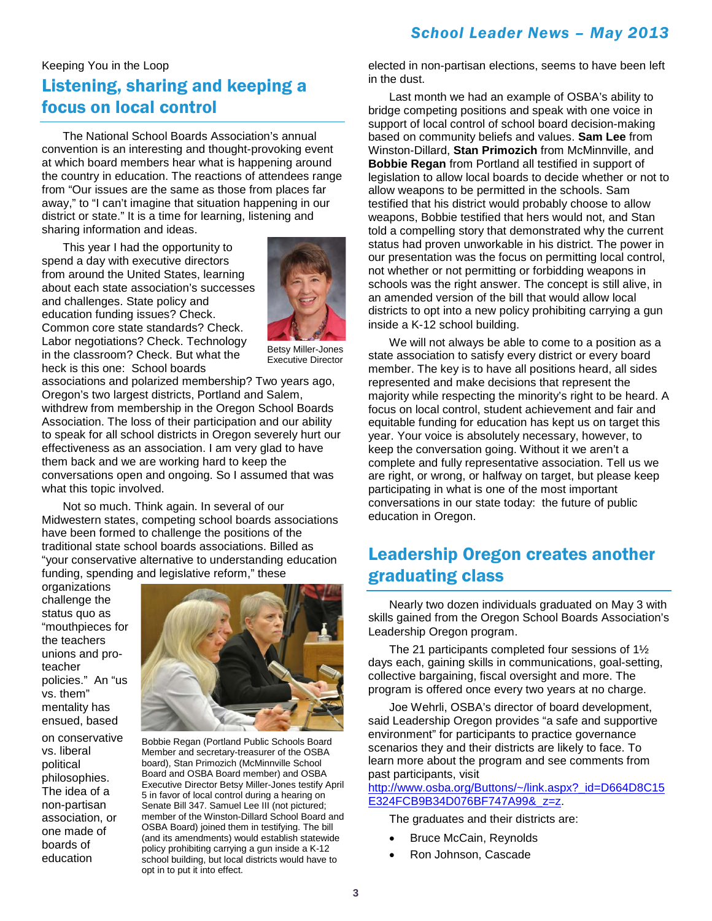## Keeping You in the Loop Listening, sharing and keeping a focus on local control

The National School Boards Association's annual convention is an interesting and thought-provoking event at which board members hear what is happening around the country in education. The reactions of attendees range from "Our issues are the same as those from places far away," to "I can't imagine that situation happening in our district or state." It is a time for learning, listening and sharing information and ideas.

This year I had the opportunity to spend a day with executive directors from around the United States, learning about each state association's successes and challenges. State policy and education funding issues? Check. Common core state standards? Check. Labor negotiations? Check. Technology in the classroom? Check. But what the heck is this one: School boards



Betsy Miller-Jones Executive Director

associations and polarized membership? Two years ago, Oregon's two largest districts, Portland and Salem, withdrew from membership in the Oregon School Boards Association. The loss of their participation and our ability to speak for all school districts in Oregon severely hurt our effectiveness as an association. I am very glad to have them back and we are working hard to keep the conversations open and ongoing. So I assumed that was what this topic involved.

Not so much. Think again. In several of our Midwestern states, competing school boards associations have been formed to challenge the positions of the traditional state school boards associations. Billed as "your conservative alternative to understanding education funding, spending and legislative reform," these

organizations challenge the status quo as "mouthpieces for the teachers unions and proteacher policies." An "us vs. them" mentality has ensued, based

on conservative vs. liberal political philosophies. The idea of a non-partisan association, or one made of boards of education



Bobbie Regan (Portland Public Schools Board Member and secretary-treasurer of the OSBA board), Stan Primozich (McMinnville School Board and OSBA Board member) and OSBA Executive Director Betsy Miller-Jones testify April 5 in favor of local control during a hearing on Senate Bill 347. Samuel Lee III (not pictured; member of the Winston-Dillard School Board and OSBA Board) joined them in testifying. The bill (and its amendments) would establish statewide policy prohibiting carrying a gun inside a K-12 school building, but local districts would have to opt in to put it into effect.

elected in non-partisan elections, seems to have been left in the dust.

Last month we had an example of OSBA's ability to bridge competing positions and speak with one voice in support of local control of school board decision-making based on community beliefs and values. **Sam Lee** from Winston-Dillard, **Stan Primozich** from McMinnville, and **Bobbie Regan** from Portland all testified in support of legislation to allow local boards to decide whether or not to allow weapons to be permitted in the schools. Sam testified that his district would probably choose to allow weapons, Bobbie testified that hers would not, and Stan told a compelling story that demonstrated why the current status had proven unworkable in his district. The power in our presentation was the focus on permitting local control, not whether or not permitting or forbidding weapons in schools was the right answer. The concept is still alive, in an amended version of the bill that would allow local districts to opt into a new policy prohibiting carrying a gun inside a K-12 school building.

We will not always be able to come to a position as a state association to satisfy every district or every board member. The key is to have all positions heard, all sides represented and make decisions that represent the majority while respecting the minority's right to be heard. A focus on local control, student achievement and fair and equitable funding for education has kept us on target this year. Your voice is absolutely necessary, however, to keep the conversation going. Without it we aren't a complete and fully representative association. Tell us we are right, or wrong, or halfway on target, but please keep participating in what is one of the most important conversations in our state today: the future of public education in Oregon.

## Leadership Oregon creates another graduating class

Nearly two dozen individuals graduated on May 3 with skills gained from the Oregon School Boards Association's Leadership Oregon program.

The 21 participants completed four sessions of 1½ days each, gaining skills in communications, goal-setting, collective bargaining, fiscal oversight and more. The program is offered once every two years at no charge.

Joe Wehrli, OSBA's director of board development, said Leadership Oregon provides "a safe and supportive environment" for participants to practice governance scenarios they and their districts are likely to face. To learn more about the program and see comments from past participants, visit

[http://www.osba.org/Buttons/~/link.aspx?\\_id=D664D8C15](http://www.osba.org/Buttons/~/link.aspx?_id=D664D8C15E324FCB9B34D076BF747A99&_z=z) [E324FCB9B34D076BF747A99&\\_z=z.](http://www.osba.org/Buttons/~/link.aspx?_id=D664D8C15E324FCB9B34D076BF747A99&_z=z)

The graduates and their districts are:

- Bruce McCain, Reynolds
- Ron Johnson, Cascade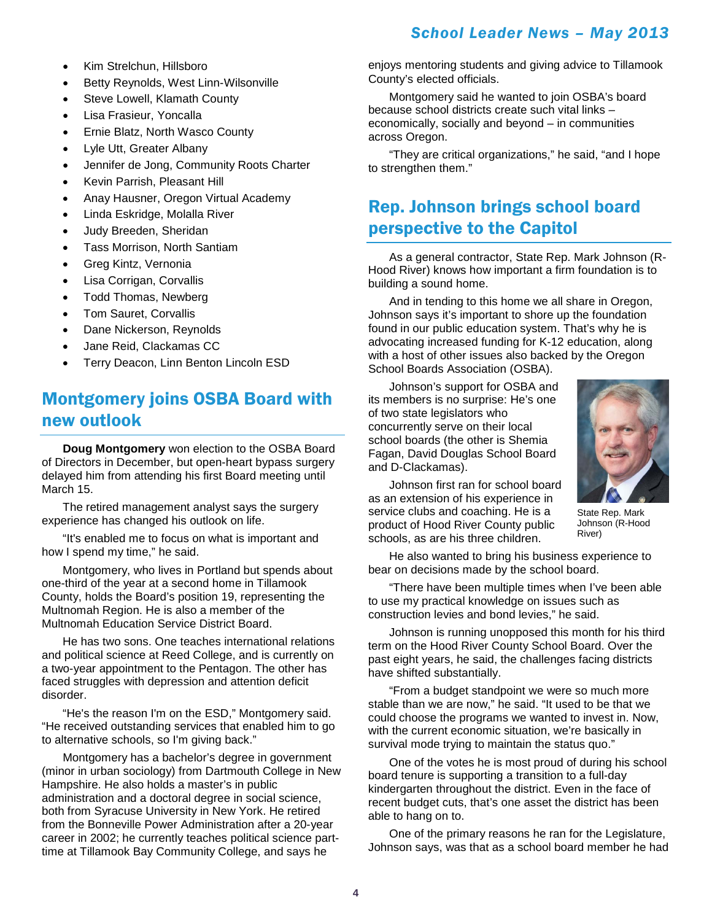- Kim Strelchun, Hillsboro
- Betty Reynolds, West Linn-Wilsonville
- Steve Lowell, Klamath County
- Lisa Frasieur, Yoncalla
- Ernie Blatz, North Wasco County
- Lyle Utt, Greater Albany
- Jennifer de Jong, Community Roots Charter
- Kevin Parrish, Pleasant Hill
- Anay Hausner, Oregon Virtual Academy
- Linda Eskridge, Molalla River
- Judy Breeden, Sheridan
- Tass Morrison, North Santiam
- Greg Kintz, Vernonia
- Lisa Corrigan, Corvallis
- Todd Thomas, Newberg
- Tom Sauret, Corvallis
- Dane Nickerson, Reynolds
- Jane Reid, Clackamas CC
- Terry Deacon, Linn Benton Lincoln ESD

# Montgomery joins OSBA Board with new outlook

**Doug Montgomery** won election to the OSBA Board of Directors in December, but open-heart bypass surgery delayed him from attending his first Board meeting until March 15.

The retired management analyst says the surgery experience has changed his outlook on life.

"It's enabled me to focus on what is important and how I spend my time," he said.

Montgomery, who lives in Portland but spends about one-third of the year at a second home in Tillamook County, holds the Board's position 19, representing the Multnomah Region. He is also a member of the Multnomah Education Service District Board.

He has two sons. One teaches international relations and political science at Reed College, and is currently on a two-year appointment to the Pentagon. The other has faced struggles with depression and attention deficit disorder.

"He's the reason I'm on the ESD," Montgomery said. "He received outstanding services that enabled him to go to alternative schools, so I'm giving back."

Montgomery has a bachelor's degree in government (minor in urban sociology) from Dartmouth College in New Hampshire. He also holds a master's in public administration and a doctoral degree in social science, both from Syracuse University in New York. He retired from the Bonneville Power Administration after a 20-year career in 2002; he currently teaches political science parttime at Tillamook Bay Community College, and says he

enjoys mentoring students and giving advice to Tillamook County's elected officials.

Montgomery said he wanted to join OSBA's board because school districts create such vital links – economically, socially and beyond – in communities across Oregon.

"They are critical organizations," he said, "and I hope to strengthen them."

# Rep. Johnson brings school board perspective to the Capitol

As a general contractor, State Rep. Mark Johnson (R-Hood River) knows how important a firm foundation is to building a sound home.

And in tending to this home we all share in Oregon, Johnson says it's important to shore up the foundation found in our public education system. That's why he is advocating increased funding for K-12 education, along with a host of other issues also backed by the Oregon School Boards Association (OSBA).

Johnson's support for OSBA and its members is no surprise: He's one of two state legislators who concurrently serve on their local school boards (the other is Shemia Fagan, David Douglas School Board and D-Clackamas).



Johnson first ran for school board as an extension of his experience in service clubs and coaching. He is a product of Hood River County public schools, as are his three children.

State Rep. Mark Johnson (R-Hood River)

He also wanted to bring his business experience to bear on decisions made by the school board.

"There have been multiple times when I've been able to use my practical knowledge on issues such as construction levies and bond levies," he said.

Johnson is running unopposed this month for his third term on the Hood River County School Board. Over the past eight years, he said, the challenges facing districts have shifted substantially.

"From a budget standpoint we were so much more stable than we are now," he said. "It used to be that we could choose the programs we wanted to invest in. Now, with the current economic situation, we're basically in survival mode trying to maintain the status quo."

One of the votes he is most proud of during his school board tenure is supporting a transition to a full-day kindergarten throughout the district. Even in the face of recent budget cuts, that's one asset the district has been able to hang on to.

One of the primary reasons he ran for the Legislature, Johnson says, was that as a school board member he had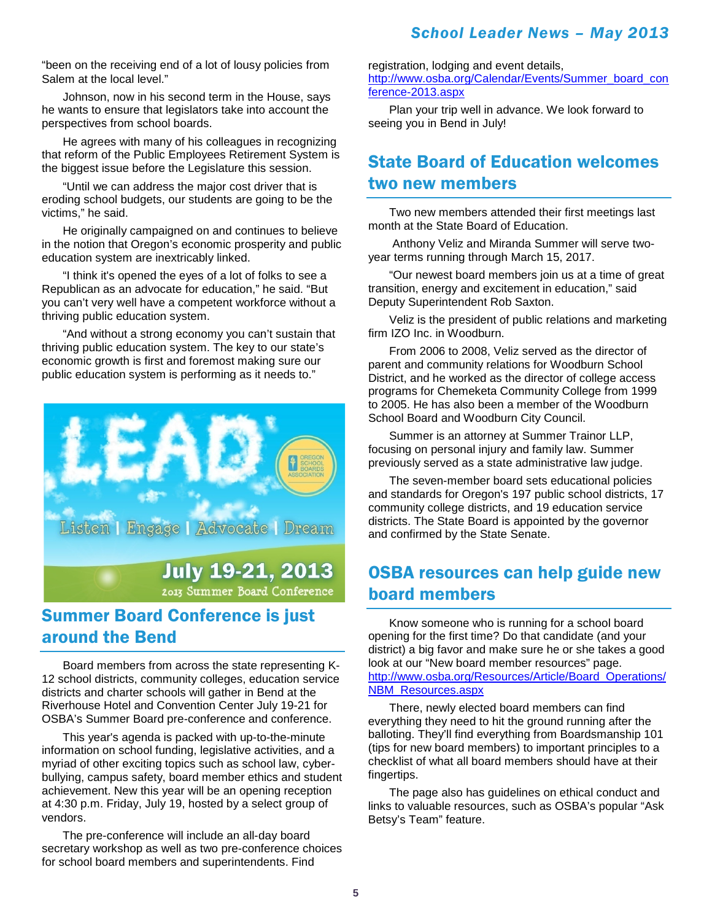"been on the receiving end of a lot of lousy policies from Salem at the local level."

Johnson, now in his second term in the House, says he wants to ensure that legislators take into account the perspectives from school boards.

He agrees with many of his colleagues in recognizing that reform of the Public Employees Retirement System is the biggest issue before the Legislature this session.

"Until we can address the major cost driver that is eroding school budgets, our students are going to be the victims," he said.

He originally campaigned on and continues to believe in the notion that Oregon's economic prosperity and public education system are inextricably linked.

"I think it's opened the eyes of a lot of folks to see a Republican as an advocate for education," he said. "But you can't very well have a competent workforce without a thriving public education system.

"And without a strong economy you can't sustain that thriving public education system. The key to our state's economic growth is first and foremost making sure our public education system is performing as it needs to."



2013 Summer Board Conference

## Summer Board Conference is just around the Bend

Board members from across the state representing K-12 school districts, community colleges, education service districts and charter schools will gather in Bend at the Riverhouse Hotel and Convention Center July 19-21 for OSBA's Summer Board pre-conference and conference.

This year's agenda is packed with up-to-the-minute information on school funding, legislative activities, and a myriad of other exciting topics such as school law, cyberbullying, campus safety, board member ethics and student achievement. New this year will be an opening reception at 4:30 p.m. Friday, July 19, hosted by a select group of vendors.

The pre-conference will include an all-day board secretary workshop as well as two pre-conference choices for school board members and superintendents. Find

registration, lodging and event details, [http://www.osba.org/Calendar/Events/Summer\\_board\\_con](http://www.osba.org/Calendar/Events/Summer_board_conference-2013.aspx) [ference-2013.aspx](http://www.osba.org/Calendar/Events/Summer_board_conference-2013.aspx)

Plan your trip well in advance. We look forward to seeing you in Bend in July!

# State Board of Education welcomes two new members

Two new members attended their first meetings last month at the State Board of Education.

Anthony Veliz and Miranda Summer will serve twoyear terms running through March 15, 2017.

"Our newest board members join us at a time of great transition, energy and excitement in education," said Deputy Superintendent Rob Saxton.

Veliz is the president of public relations and marketing firm IZO Inc. in Woodburn.

From 2006 to 2008, Veliz served as the director of parent and community relations for Woodburn School District, and he worked as the director of college access programs for Chemeketa Community College from 1999 to 2005. He has also been a member of the Woodburn School Board and Woodburn City Council.

Summer is an attorney at Summer Trainor LLP, focusing on personal injury and family law. Summer previously served as a state administrative law judge.

The seven-member board sets educational policies and standards for Oregon's 197 public school districts, 17 community college districts, and 19 education service districts. The State Board is appointed by the governor and confirmed by the State Senate.

## OSBA resources can help guide new board members

Know someone who is running for a school board opening for the first time? Do that candidate (and your district) a big favor and make sure he or she takes a good look at our "New board member resources" page. [http://www.osba.org/Resources/Article/Board\\_Operations/](http://www.osba.org/Resources/Article/Board_Operations/NBM_Resources.aspx) [NBM\\_Resources.aspx](http://www.osba.org/Resources/Article/Board_Operations/NBM_Resources.aspx)

There, newly elected board members can find everything they need to hit the ground running after the balloting. They'll find everything from Boardsmanship 101 (tips for new board members) to important principles to a checklist of what all board members should have at their fingertips.

The page also has guidelines on ethical conduct and links to valuable resources, such as OSBA's popular "Ask Betsy's Team" feature.